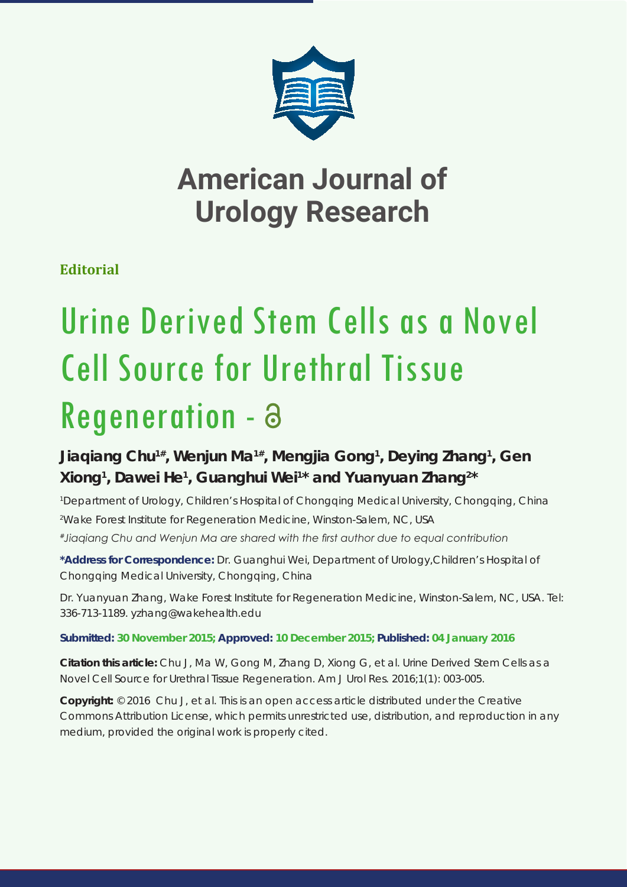

# **American Journal of Urology Research**

### **Editorial**

# Urine Derived Stem Cells as a Novel Cell Source for Urethral Tissue Regeneration - a

## **Jiaqiang Chu1#, Wenjun Ma1#, Mengjia Gong1 , Deying Zhang1 , Gen Xiong1 , Dawei He1 , Guanghui Wei1 \* and Yuanyuan Zhang2 \***

*1 Department of Urology, Children's Hospital of Chongqing Medical University, Chongqing, China 2 Wake Forest Institute for Regeneration Medicine, Winston-Salem, NC, USA*

*#Jiaqiang Chu and Wenjun Ma are shared with the first author due to equal contribution* 

**\*Address for Correspondence:** Dr. Guanghui Wei, Department of Urology,Children's Hospital of Chongqing Medical University, Chongqing, China

Dr. Yuanyuan Zhang, Wake Forest Institute for Regeneration Medicine, Winston-Salem, NC, USA. Tel: 336-713-1189. yzhang@wakehealth.edu

#### **Submitted: 30 November 2015; Approved: 10 December 2015; Published: 04 January 2016**

**Citation this article:** Chu J, Ma W, Gong M, Zhang D, Xiong G, et al. Urine Derived Stem Cells as a Novel Cell Source for Urethral Tissue Regeneration. Am J Urol Res. 2016;1(1): 003-005.

**Copyright:** © 2016 Chu J, et al. This is an open access article distributed under the Creative Commons Attribution License, which permits unrestricted use, distribution, and reproduction in any medium, provided the original work is properly cited.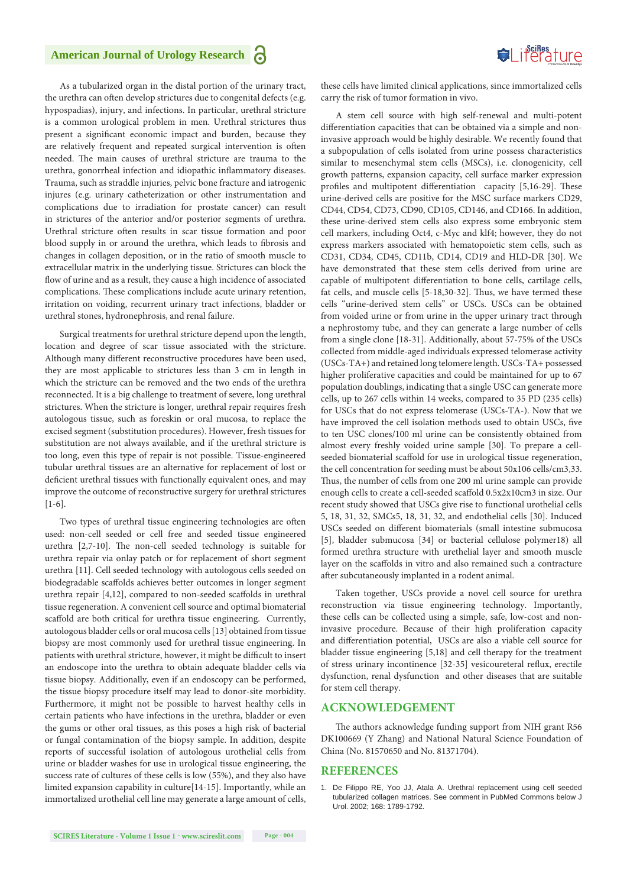

As a tubularized organ in the distal portion of the urinary tract, the urethra can often develop strictures due to congenital defects (e.g. hypospadias), injury, and infections. In particular, urethral stricture is a common urological problem in men. Urethral strictures thus present a significant economic impact and burden, because they are relatively frequent and repeated surgical intervention is often needed. The main causes of urethral stricture are trauma to the urethra, gonorrheal infection and idiopathic inflammatory diseases. Trauma, such as straddle injuries, pelvic bone fracture and iatrogenic injures (e.g. urinary catheterization or other instrumentation and complications due to irradiation for prostate cancer) can result in strictures of the anterior and/or posterior segments of urethra. Urethral stricture often results in scar tissue formation and poor blood supply in or around the urethra, which leads to fibrosis and changes in collagen deposition, or in the ratio of smooth muscle to extracellular matrix in the underlying tissue. Strictures can block the flow of urine and as a result, they cause a high incidence of associated complications. These complications include acute urinary retention, irritation on voiding, recurrent urinary tract infections, bladder or urethral stones, hydronephrosis, and renal failure.

Surgical treatments for urethral stricture depend upon the length, location and degree of scar tissue associated with the stricture. Although many different reconstructive procedures have been used, they are most applicable to strictures less than 3 cm in length in which the stricture can be removed and the two ends of the urethra reconnected. It is a big challenge to treatment of severe, long urethral strictures. When the stricture is longer, urethral repair requires fresh autologous tissue, such as foreskin or oral mucosa, to replace the excised segment (substitution procedures). However, fresh tissues for substitution are not always available, and if the urethral stricture is too long, even this type of repair is not possible. Tissue-engineered tubular urethral tissues are an alternative for replacement of lost or deficient urethral tissues with functionally equivalent ones, and may improve the outcome of reconstructive surgery for urethral strictures [1-6].

Two types of urethral tissue engineering technologies are often used: non-cell seeded or cell free and seeded tissue engineered urethra [2,7-10]. The non-cell seeded technology is suitable for urethra repair via onlay patch or for replacement of short segment urethra [11]. Cell seeded technology with autologous cells seeded on biodegradable scaffolds achieves better outcomes in longer segment urethra repair [4,12], compared to non-seeded scaffolds in urethral tissue regeneration. A convenient cell source and optimal biomaterial scaffold are both critical for urethra tissue engineering. Currently, autologous bladder cells or oral mucosa cells [13] obtained from tissue biopsy are most commonly used for urethral tissue engineering. In patients with urethral stricture, however, it might be difficult to insert an endoscope into the urethra to obtain adequate bladder cells via tissue biopsy. Additionally, even if an endoscopy can be performed, the tissue biopsy procedure itself may lead to donor-site morbidity. Furthermore, it might not be possible to harvest healthy cells in certain patients who have infections in the urethra, bladder or even the gums or other oral tissues, as this poses a high risk of bacterial or fungal contamination of the biopsy sample. In addition, despite reports of successful isolation of autologous urothelial cells from urine or bladder washes for use in urological tissue engineering, the success rate of cultures of these cells is low (55%), and they also have limited expansion capability in culture[14-15]. Importantly, while an immortalized urothelial cell line may generate a large amount of cells,

these cells have limited clinical applications, since immortalized cells carry the risk of tumor formation in vivo.

A stem cell source with high self-renewal and multi-potent differentiation capacities that can be obtained via a simple and noninvasive approach would be highly desirable. We recently found that a subpopulation of cells isolated from urine possess characteristics similar to mesenchymal stem cells (MSCs), i.e. clonogenicity, cell growth patterns, expansion capacity, cell surface marker expression profiles and multipotent differentiation capacity [5,16-29]. These urine-derived cells are positive for the MSC surface markers CD29, CD44, CD54, CD73, CD90, CD105, CD146, and CD166. In addition, these urine-derived stem cells also express some embryonic stem cell markers, including Oct4, c-Myc and klf4; however, they do not express markers associated with hematopoietic stem cells, such as CD31, CD34, CD45, CD11b, CD14, CD19 and HLD-DR [30]. We have demonstrated that these stem cells derived from urine are capable of multipotent differentiation to bone cells, cartilage cells, fat cells, and muscle cells [5-18,30-32]. Thus, we have termed these cells "urine-derived stem cells" or USCs. USCs can be obtained from voided urine or from urine in the upper urinary tract through a nephrostomy tube, and they can generate a large number of cells from a single clone [18-31]. Additionally, about 57-75% of the USCs collected from middle-aged individuals expressed telomerase activity (USCs-TA+) and retained long telomere length. USCs-TA+ possessed higher proliferative capacities and could be maintained for up to 67 population doublings, indicating that a single USC can generate more cells, up to 267 cells within 14 weeks, compared to 35 PD (235 cells) for USCs that do not express telomerase (USCs-TA-). Now that we have improved the cell isolation methods used to obtain USCs, five to ten USC clones/100 ml urine can be consistently obtained from almost every freshly voided urine sample [30]. To prepare a cellseeded biomaterial scaffold for use in urological tissue regeneration, the cell concentration for seeding must be about 50x106 cells/cm3,33. Thus, the number of cells from one 200 ml urine sample can provide enough cells to create a cell-seeded scaffold 0.5x2x10cm3 in size. Our recent study showed that USCs give rise to functional urothelial cells 5, 18, 31, 32, SMCs5, 18, 31, 32, and endothelial cells [30]. Induced USCs seeded on different biomaterials (small intestine submucosa [5], bladder submucosa [34] or bacterial cellulose polymer18) all formed urethra structure with urethelial layer and smooth muscle layer on the scaffolds in vitro and also remained such a contracture after subcutaneously implanted in a rodent animal.

Taken together, USCs provide a novel cell source for urethra reconstruction via tissue engineering technology. Importantly, these cells can be collected using a simple, safe, low-cost and noninvasive procedure. Because of their high proliferation capacity and differentiation potential, USCs are also a viable cell source for bladder tissue engineering [5,18] and cell therapy for the treatment of stress urinary incontinence [32-35] vesicoureteral reflux, erectile dysfunction, renal dysfunction and other diseases that are suitable for stem cell therapy.

#### **ACKNOWLEDGEMENT**

The authors acknowledge funding support from NIH grant R56 DK100669 (Y Zhang) and National Natural Science Foundation of China (No. 81570650 and No. 81371704).

#### **REFERENCES**

1. [De Filippo RE, Yoo JJ, Atala A. Urethral replacement using cell seeded](http://www.ncbi.nlm.nih.gov/pubmed/12352360)  [tubularized collagen matrices. See comment in PubMed Commons below J](http://www.ncbi.nlm.nih.gov/pubmed/12352360)  [Urol. 2002; 168: 1789-1792.](http://www.ncbi.nlm.nih.gov/pubmed/12352360)